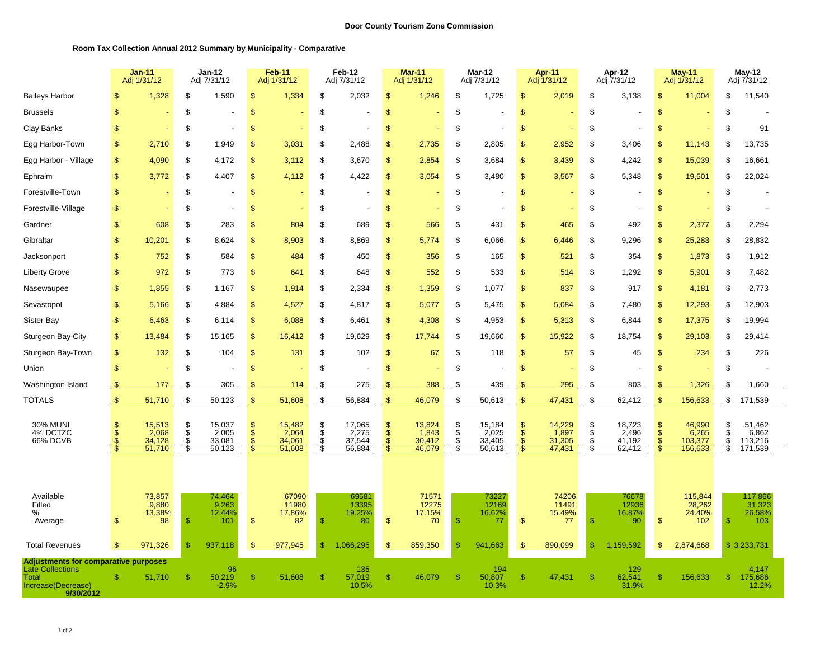## **Room Tax Collection Annual 2012 Summary by Municipality - Comparative**

|                                                                                                                           |               | <b>Jan-11</b><br>Adj 1/31/12        |                        | $Jan-12$<br>Adj 7/31/12             |                | <b>Feb-11</b><br>Adj 1/31/12        |                | Feb-12<br>Adj 7/31/12               |                                | <b>Mar-11</b><br>Adj 1/31/12        |                      | Mar-12<br>Adj 7/31/12               |                                                  | Apr-11<br>Adj 1/31/12               |                     | Apr-12<br>Adj 7/31/12               |                                          | $May-11$<br>Adj 1/31/12               |                                        | $May-12$<br>Adj 7/31/12               |
|---------------------------------------------------------------------------------------------------------------------------|---------------|-------------------------------------|------------------------|-------------------------------------|----------------|-------------------------------------|----------------|-------------------------------------|--------------------------------|-------------------------------------|----------------------|-------------------------------------|--------------------------------------------------|-------------------------------------|---------------------|-------------------------------------|------------------------------------------|---------------------------------------|----------------------------------------|---------------------------------------|
| <b>Baileys Harbor</b>                                                                                                     |               | 1,328                               | \$                     | 1,590                               | \$             | 1,334                               | \$             | 2,032                               | \$                             | 1,246                               | \$                   | 1,725                               | \$                                               | 2,019                               | \$                  | 3,138                               | \$                                       | 11,004                                | \$                                     | 11,540                                |
| <b>Brussels</b>                                                                                                           | \$            |                                     | \$                     |                                     | \$             |                                     | \$             |                                     | $\mathbb{S}$                   |                                     | \$                   |                                     | $\mathbb{S}$                                     |                                     | \$                  |                                     | $\mathbb{S}$                             |                                       | \$                                     |                                       |
| Clay Banks                                                                                                                | $\mathbf{s}$  |                                     | \$                     |                                     | \$             |                                     | \$             |                                     | \$                             |                                     | \$                   |                                     | $\mathbf{s}$                                     |                                     | \$                  |                                     | \$                                       |                                       | $\mathfrak{s}$                         | 91                                    |
| Egg Harbor-Town                                                                                                           | $\mathsf{\$}$ | 2,710                               | \$                     | 1,949                               | \$             | 3,031                               | \$             | 2,488                               | \$                             | 2,735                               | \$                   | 2,805                               | \$                                               | 2,952                               | \$                  | 3,406                               | \$                                       | 11,143                                | \$                                     | 13,735                                |
| Egg Harbor - Village                                                                                                      | $\mathbb{S}$  | 4,090                               | \$                     | 4,172                               | \$             | 3,112                               | \$             | 3,670                               | \$                             | 2,854                               | \$                   | 3,684                               | $\mathbb{S}$                                     | 3,439                               | \$                  | 4,242                               | $\mathbb{S}$                             | 15,039                                | \$                                     | 16,661                                |
| Ephraim                                                                                                                   | $\mathbb{S}$  | 3,772                               | \$                     | 4.407                               | \$             | 4,112                               | \$             | 4,422                               | \$                             | 3,054                               | \$                   | 3,480                               | $\mathbf{s}$                                     | 3,567                               | \$                  | 5,348                               | \$                                       | 19,501                                | \$                                     | 22,024                                |
| Forestville-Town                                                                                                          | \$            |                                     | \$                     |                                     | $\mathcal{S}$  |                                     | \$             |                                     | \$                             |                                     | \$                   |                                     | \$                                               |                                     | \$                  |                                     | \$                                       |                                       | \$                                     |                                       |
| Forestville-Village                                                                                                       | \$            |                                     | \$                     | Ĭ.                                  | $\frac{1}{2}$  |                                     | \$             |                                     | \$                             |                                     | \$                   |                                     | $\mathfrak{S}$                                   |                                     | \$                  | ÷,                                  | \$                                       |                                       | \$                                     |                                       |
| Gardner                                                                                                                   | \$            | 608                                 | \$                     | 283                                 | \$             | 804                                 | \$             | 689                                 | \$                             | 566                                 | \$                   | 431                                 | \$                                               | 465                                 | \$                  | 492                                 | \$                                       | 2,377                                 | \$                                     | 2,294                                 |
| Gibraltar                                                                                                                 | $\mathbf{s}$  | 10,201                              | \$                     | 8.624                               | $\mathbf{S}$   | 8,903                               | \$             | 8,869                               | \$                             | 5.774                               | \$                   | 6,066                               | $\mathsf{\$}$                                    | 6.446                               | \$                  | 9,296                               | \$                                       | 25,283                                | \$                                     | 28,832                                |
| Jacksonport                                                                                                               | \$            | 752                                 | \$                     | 584                                 | $\mathbf{s}$   | 484                                 | \$             | 450                                 | $\mathsf{\$}$                  | 356                                 | \$                   | 165                                 | \$                                               | 521                                 | \$                  | 354                                 | \$                                       | 1,873                                 | \$                                     | 1,912                                 |
| <b>Liberty Grove</b>                                                                                                      | $\mathsf{\$}$ | 972                                 | \$                     | 773                                 | \$             | 641                                 | \$             | 648                                 | \$                             | 552                                 | \$                   | 533                                 | \$                                               | 514                                 | \$                  | 1,292                               | \$                                       | 5,901                                 | \$                                     | 7,482                                 |
| Nasewaupee                                                                                                                | \$            | 1,855                               | \$                     | 1,167                               | \$             | 1,914                               | \$             | 2,334                               | \$                             | 1,359                               | \$                   | 1,077                               | $\mathbf{s}$                                     | 837                                 | \$                  | 917                                 | \$                                       | 4,181                                 | \$                                     | 2,773                                 |
| Sevastopol                                                                                                                | $\mathsf{\$}$ | 5,166                               | \$                     | 4,884                               | $\mathbf{S}$   | 4,527                               | \$             | 4,817                               | \$                             | 5,077                               | \$                   | 5,475                               | $\mathsf{\$}$                                    | 5,084                               | \$                  | 7,480                               | \$                                       | 12,293                                | \$                                     | 12,903                                |
| Sister Bay                                                                                                                | \$            | 6,463                               | \$                     | 6.114                               | $\frac{1}{2}$  | 6,088                               | \$             | 6,461                               | \$                             | 4,308                               | \$                   | 4.953                               | \$                                               | 5,313                               | \$                  | 6,844                               | \$                                       | 17,375                                | \$                                     | 19,994                                |
| Sturgeon Bay-City                                                                                                         | $\mathsf{\$}$ | 13,484                              | \$                     | 15,165                              | \$             | 16,412                              | \$             | 19,629                              | \$                             | 17,744                              | \$                   | 19,660                              | \$                                               | 15,922                              | \$                  | 18,754                              | \$                                       | 29,103                                | \$                                     | 29,414                                |
| Sturgeon Bay-Town                                                                                                         | \$            | 132                                 | \$                     | 104                                 | $\mathbf{\$}$  | 131                                 | \$             | 102                                 | \$                             | 67                                  | \$                   | 118                                 | $\mathbf{s}$                                     | 57                                  | \$                  | 45                                  | \$                                       | 234                                   | \$                                     | 226                                   |
| Union                                                                                                                     | $\mathsf{\$}$ |                                     | \$                     |                                     | $\mathbf{\$}$  |                                     | \$             |                                     | $\mathbf{\$}$                  |                                     | \$                   |                                     | \$                                               |                                     | \$                  |                                     | \$                                       |                                       | \$                                     |                                       |
| Washington Island                                                                                                         | $\sqrt[6]{3}$ | 177                                 | \$                     | 305                                 | \$             | $114$                               | \$             | 275                                 | $\sqrt[6]{3}$                  | 388                                 | \$                   | 439                                 | \$.                                              | 295                                 | \$                  | 803                                 | \$                                       | 1,326                                 | \$                                     | 1,660                                 |
| <b>TOTALS</b>                                                                                                             | $\mathbb{S}$  | 51,710                              | \$                     | 50,123                              | $\mathcal{F}$  | 51,608                              | \$             | 56,884                              | $\sqrt{5}$                     | 46,079                              | \$                   | 50,613                              | $\mathfrak{S}$                                   | 47,431                              | \$                  | 62,412                              | $\mathbb{S}$                             | 156,633                               | \$                                     | 171,539                               |
| <b>30% MUNI</b><br>4% DCTZC<br>66% DCVB                                                                                   | \$.           | 15,513<br>2,068<br>34,128<br>51,710 | \$<br>\$<br>\$<br>- \$ | 15,037<br>2,005<br>33,081<br>50,123 | \$<br>\$<br>\$ | 15,482<br>2,064<br>34,061<br>51,608 | \$<br>\$<br>\$ | 17,065<br>2,275<br>37,544<br>56,884 | \$<br>$\ddot{s}$<br>\$<br>- \$ | 13,824<br>1,843<br>30,412<br>46,079 | \$<br>Ś.<br>\$<br>\$ | 15,184<br>2,025<br>33,405<br>50,613 | \$<br>$\dot{\$}$<br>$\sqrt[6]{\frac{1}{2}}$<br>S | 14,229<br>1,897<br>31,305<br>47,431 | \$<br>\$<br>\$<br>S | 18,723<br>2,496<br>41,192<br>62,412 | \$<br>$\ddot{\$}$<br>$\mathfrak{s}$<br>S | 46,990<br>6,265<br>103,377<br>156,633 | \$<br>$\dot{s}$<br>\$<br>$\mathcal{P}$ | 51,462<br>6,862<br>113,216<br>171,539 |
| Available                                                                                                                 |               | 73.857                              |                        | 74.464                              |                | 67090                               |                | 69581                               |                                | 71571                               |                      | 73227                               |                                                  | 74206                               |                     | 76678                               |                                          | 115,844                               |                                        | 117,866                               |
| Filled<br>%<br>Average                                                                                                    | \$            | 9,880<br>13.38%<br>98               | $\mathfrak{s}$         | 9,263<br>12.44%<br>101              | $\frac{1}{2}$  | 11980<br>17.86%<br>82               | $\mathbb{S}$   | 13395<br>19.25%<br>80               | $\sqrt{2}$                     | 12275<br>17.15%<br>70               | $\mathsf{\$}$        | 12169<br>16.62%<br>77               | \$                                               | 11491<br>15.49%<br>77               | \$                  | 12936<br>16.87%<br>90               | \$                                       | 28,262<br>24.40%<br>102               | $\mathbf{\$}$                          | 31,323<br>26.58%<br>103               |
| <b>Total Revenues</b>                                                                                                     | \$            | 971,326                             | $\mathfrak{s}$         | 937,118                             | S              | 977,945                             | \$             | 1,066,295                           | \$                             | 859,350                             | \$.                  | 941,663                             | $\mathfrak{S}$                                   | 890,099                             | $\mathbb{S}$        | 1,159,592                           | \$                                       | 2,874,668                             |                                        | \$3,233,731                           |
| <b>Adjustments for comparative purposes</b><br><b>Late Collections</b><br><b>Total</b><br>Increase(Decrease)<br>9/30/2012 | £.            | 51,710                              | \$                     | 96<br>50,219<br>$-2.9%$             | <sup>\$</sup>  | 51,608                              | $\mathbb{S}$   | 135<br>57,019<br>10.5%              | $\mathbb{S}$                   | 46,079                              | <sup>\$</sup>        | 194<br>50,807<br>10.3%              | \$                                               | 47,431                              | <sup>\$</sup>       | 129<br>62,541<br>31.9%              | \$                                       | 156,633                               | <sup>\$</sup>                          | 4,147<br>175,686<br>12.2%             |